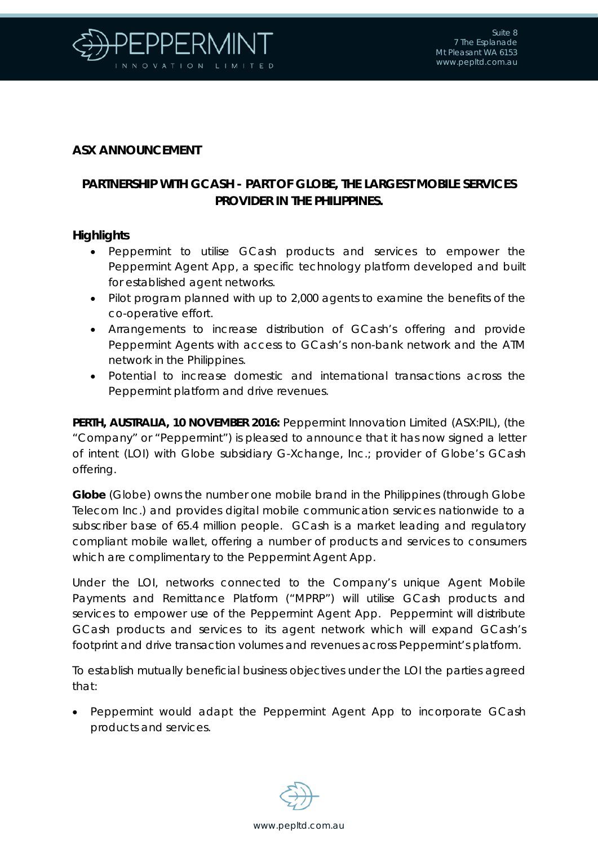

## **ASX ANNOUNCEMENT**

## **PARTNERSHIP WITH GCASH - PART OF GLOBE, THE LARGEST MOBILE SERVICES PROVIDER IN THE PHILIPPINES.**

## **Highlights**

- Peppermint to utilise GCash products and services to empower the Peppermint Agent App, a specific technology platform developed and built for established agent networks.
- Pilot program planned with up to 2,000 agents to examine the benefits of the co-operative effort.
- Arrangements to increase distribution of GCash's offering and provide Peppermint Agents with access to GCash's non-bank network and the ATM network in the Philippines.
- Potential to increase domestic and international transactions across the Peppermint platform and drive revenues.

**PERTH, AUSTRALIA, 10 NOVEMBER 2016:** Peppermint Innovation Limited (ASX:PIL), (the "Company" or "Peppermint") is pleased to announce that it has now signed a letter of intent (LOI) with Globe subsidiary G-Xchange, Inc.; provider of Globe's GCash offering.

**Globe** (Globe) owns the number one mobile brand in the Philippines (through Globe Telecom Inc.) and provides digital mobile communication services nationwide to a subscriber base of 65.4 million people. GCash is a market leading and regulatory compliant mobile wallet, offering a number of products and services to consumers which are complimentary to the Peppermint Agent App.

Under the LOI, networks connected to the Company's unique Agent Mobile Payments and Remittance Platform ("MPRP") will utilise GCash products and services to empower use of the Peppermint Agent App. Peppermint will distribute GCash products and services to its agent network which will expand GCash's footprint and drive transaction volumes and revenues across Peppermint's platform.

To establish mutually beneficial business objectives under the LOI the parties agreed that:

• Peppermint would adapt the Peppermint Agent App to incorporate GCash products and services.

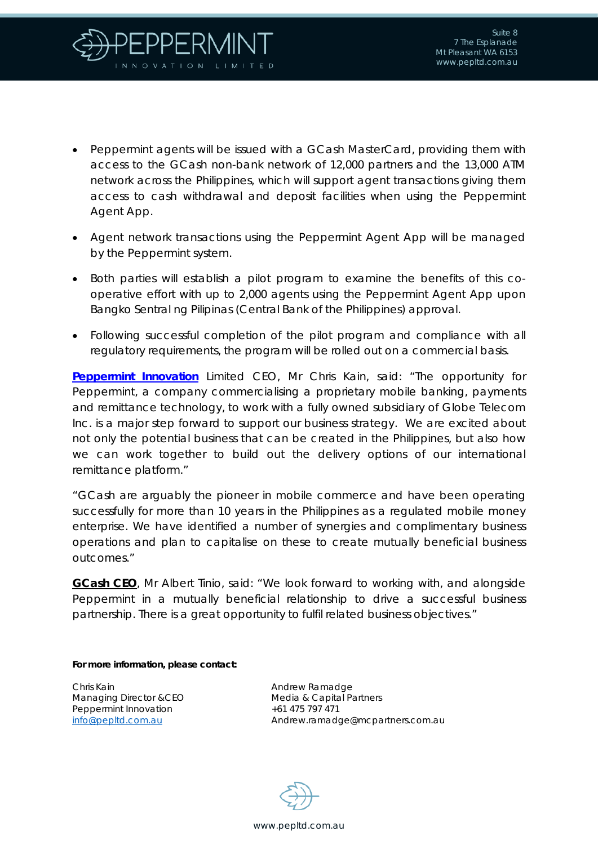

- Peppermint agents will be issued with a GCash MasterCard, providing them with access to the GCash non-bank network of 12,000 partners and the 13,000 ATM network across the Philippines, which will support agent transactions giving them access to cash withdrawal and deposit facilities when using the Peppermint Agent App.
- Agent network transactions using the Peppermint Agent App will be managed by the Peppermint system.
- Both parties will establish a pilot program to examine the benefits of this cooperative effort with up to 2,000 agents using the Peppermint Agent App upon Bangko Sentral ng Pilipinas (Central Bank of the Philippines) approval.
- Following successful completion of the pilot program and compliance with all regulatory requirements, the program will be rolled out on a commercial basis.

**[Peppermint Innovation](http://www.pepltd.com.au/)** Limited CEO, Mr Chris Kain, said: "The opportunity for Peppermint, a company commercialising a proprietary mobile banking, payments and remittance technology, to work with a fully owned subsidiary of Globe Telecom Inc. is a major step forward to support our business strategy. We are excited about not only the potential business that can be created in the Philippines, but also how we can work together to build out the delivery options of our international remittance platform."

"GCash are arguably the pioneer in mobile commerce and have been operating successfully for more than 10 years in the Philippines as a regulated mobile money enterprise. We have identified a number of synergies and complimentary business operations and plan to capitalise on these to create mutually beneficial business outcomes."

**GCash CEO**, Mr Albert Tinio, said: "We look forward to working with, and alongside Peppermint in a mutually beneficial relationship to drive a successful business partnership. There is a great opportunity to fulfil related business objectives."

**For more information, please contact:**

Chris Kain Managing Director &CEO Peppermint Innovation [info@pepltd.com.au](mailto:info@pepltd.com.au)

Andrew Ramadge Media & Capital Partners +61 475 797 471 Andrew.ramadge@mcpartners.com.au